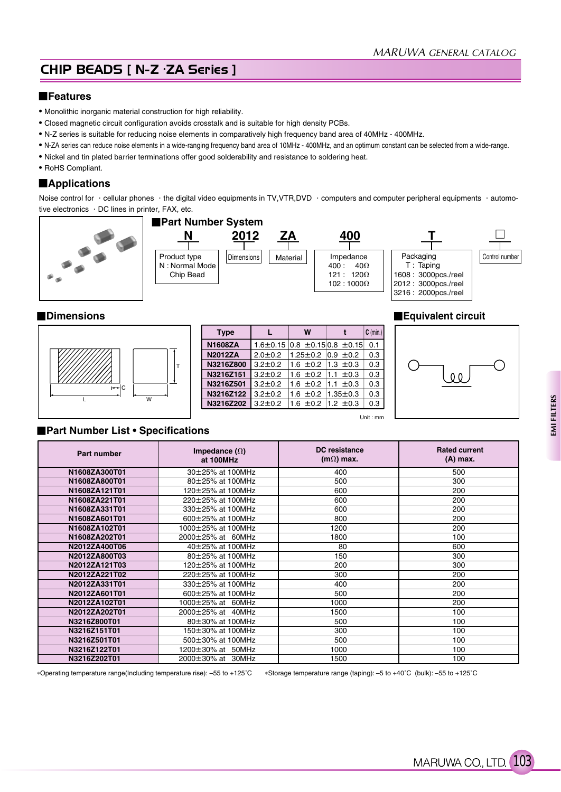# CHIP BEADS [ N-Z · ZA Series ]

## **Features**

- Monolithic inorganic material construction for high reliability.
- Closed magnetic circuit configuration avoids crosstalk and is suitable for high density PCBs.
- N-Z series is suitable for reducing noise elements in comparatively high frequency band area of 40MHz 400MHz.
- N-ZA series can reduce noise elements in a wide-ranging frequency band area of 10MHz 400MHz, and an optimum constant can be selected from a wide-range.
- Nickel and tin plated barrier terminations offer good solderability and resistance to soldering heat.
- RoHS Compliant.

## **Applications**

Noise control for  $\cdot$  cellular phones  $\cdot$  the digital video equipments in TV,VTR,DVD  $\cdot$  computers and computer peripheral equipments  $\cdot$  automotive electronics . DC lines in printer, FAX, etc.





| <b>Type</b>    | L              | W                              | $C$ (min.) |
|----------------|----------------|--------------------------------|------------|
| <b>N1608ZA</b> | $1.6 \pm 0.15$ | $ 0.8 \pm 0.15 0.8 \pm 0.15 $  | 0.1        |
| <b>N2012ZA</b> | $2.0 \pm 0.2$  | $1.25 \pm 0.2$ $ 0.9 \pm 0.2$  | 0.3        |
| N3216Z800      | $3.2 \pm 0.2$  | 1.6 $\pm$ 0.2 1.3 $\pm$ 0.3    | 0.3        |
| N3216Z151      | $3.2 \pm 0.2$  | 1.6 $\pm$ 0.2 1.1 $\pm$ 0.3    | 0.3        |
| N3216Z501      | $3.2 \pm 0.2$  | 1.6 $\pm$ 0.2 11.1 $\pm$ 0.3   | 0.3        |
| N3216Z122      | $3.2 \pm 0.2$  | 1.6 $\pm$ 0.2   1.35 $\pm$ 0.3 | 0.3        |
| N3216Z202      | $3.2 \pm 0.2$  | 1.6 $\pm$ 0.2 1.2 $\pm$ 0.3    | 0.3        |
|                |                |                                |            |

## ■**Dimensions Equivalent circuit**





### **Part Number List • Specifications**

| <b>Part number</b> | Impedance $(\Omega)$<br>at 100MHz | <b>DC</b> resistance<br>$(m\Omega)$ max. | <b>Rated current</b><br>$(A)$ max. |
|--------------------|-----------------------------------|------------------------------------------|------------------------------------|
| N1608ZA300T01      | 30±25% at 100MHz                  | 400                                      | 500                                |
| N1608ZA800T01      | 80±25% at 100MHz                  | 500                                      | 300                                |
| N1608ZA121T01      | 120±25% at 100MHz                 | 600                                      | 200                                |
| N1608ZA221T01      | 220±25% at 100MHz                 | 600                                      | 200                                |
| N1608ZA331T01      | 330±25% at 100MHz                 | 600                                      | 200                                |
| N1608ZA601T01      | 600±25% at 100MHz                 | 800                                      | 200                                |
| N1608ZA102T01      | 1000±25% at 100MHz                | 1200                                     | 200                                |
| N1608ZA202T01      | 2000±25% at 60MHz                 | 1800                                     | 100                                |
| N2012ZA400T06      | 40±25% at 100MHz                  | 80                                       | 600                                |
| N2012ZA800T03      | 80±25% at 100MHz                  | 150                                      | 300                                |
| N2012ZA121T03      | 120±25% at 100MHz                 | 200                                      | 300                                |
| N2012ZA221T02      | 220±25% at 100MHz                 | 300                                      | 200                                |
| N2012ZA331T01      | 330±25% at 100MHz                 | 400                                      | 200                                |
| N2012ZA601T01      | 600±25% at 100MHz                 | 500                                      | 200                                |
| N2012ZA102T01      | 1000±25% at 60MHz                 | 1000                                     | 200                                |
| N2012ZA202T01      | $2000 \pm 25\%$ at 40MHz          | 1500                                     | 100                                |
| N3216Z800T01       | 80±30% at 100MHz                  | 500                                      | 100                                |
| N3216Z151T01       | 150±30% at 100MHz                 | 300                                      | 100                                |
| N3216Z501T01       | 500±30% at 100MHz                 | 500                                      | 100                                |
| N3216Z122T01       | 1200±30% at 50MHz                 | 1000                                     | 100                                |
| N3216Z202T01       | 2000±30% at 30MHz                 | 1500                                     | 100                                |

Operating temperature range(Including temperature rise): –55 to +125˚C Storage temperature range (taping): –5 to +40˚C (bulk): –55 to +125˚C

MARUWA CO., LTD. (103)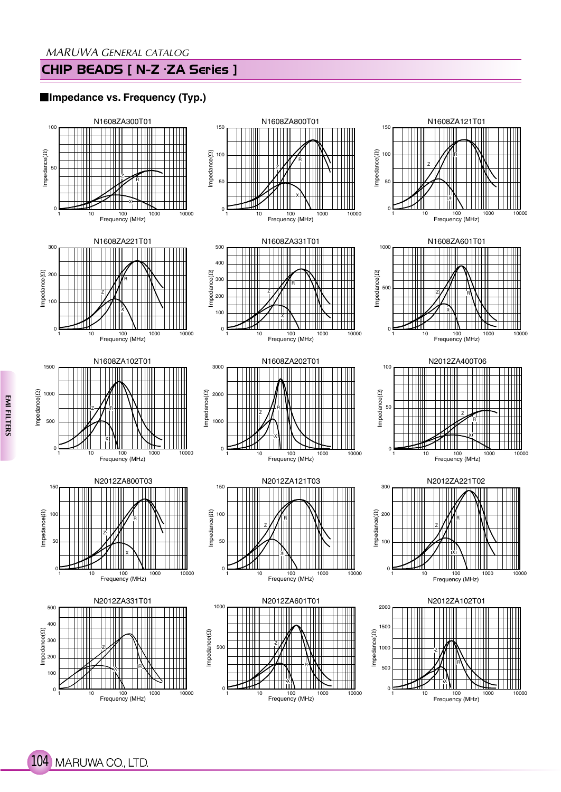# CHIP BEADS [ N-Z · ZA Series ]

## **Impedance vs. Frequency (Typ.)**



104 MARUWA CO., LTD.